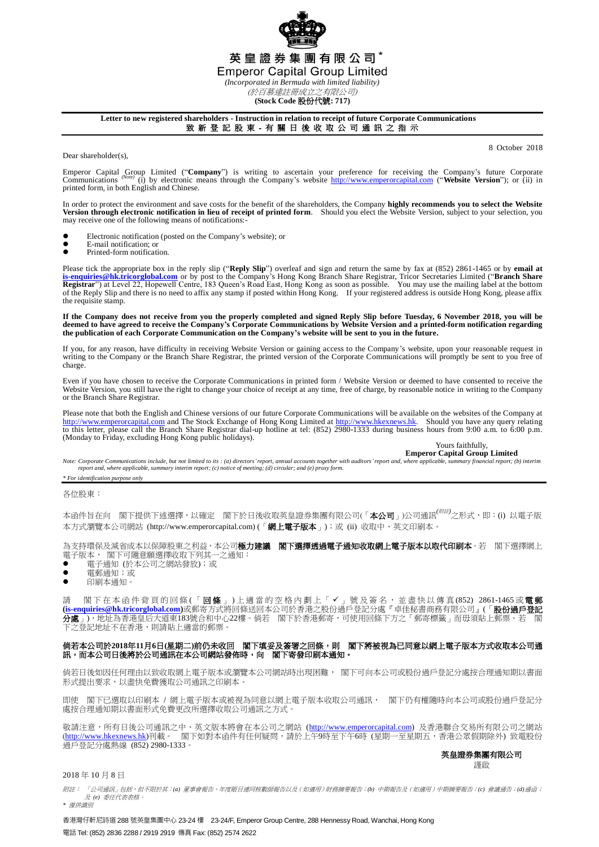

**(Stock Code** 股份代號**: 717)**

## **Letter to new registered shareholders - Instruction in relation to receipt of future Corporate Communications** 致 新 登 記 股 東 - 有 關 日 後 收 取 公 司 通 訊 之 指 示

Dear shareholder(s).

8 October 2018

Emperor Capital Group Limited ("Company") is writing to ascertain your preference for receiving the Company's future Corporate Company's future Corporate Company's future Corporate Company's future Corporate Company's webs printed form, in both English and Chinese.

In order to protect the environment and save costs for the benefit of the shareholders, the Company **highly recommends you to select the Website Version through electronic notification in lieu of receipt of printed form**. Should you elect the Website Version, subject to your selection, you may receive one of the following means of notifications:-

- Electronic notification (posted on the Company's website); or
- E-mail notification; or<br>• Printed-form notificati
- Printed-form notification.

Please tick the appropriate box in the reply slip ("**Reply Slip**") overleaf and sign and return the same by fax at (852) 2861-1465 or by **email at** [is-enquiries@hk.tricorglobal.com](mailto:is-enquiries@hk.tricorglobal.com) or by post to the Company's Hong Kong Bra of the Reply Slip and there is no need to affix any stamp if posted within Hong Kong. If your registered address is outside Hong Kong, please affix the requisite stamp.

If the Company does not receive from you the properly completed and signed Reply Slip before Tuesday, 6 November 2018, you will be<br>deemed to have agreed to receive the Company's Corporate Communications by Website Version **the publication of each Corporate Communication on the Company's website will be sent to you in the future.**

If you, for any reason, have difficulty in receiving Website Version or gaining access to the Company's website, upon your reasonable request in writing to the Company or the Branch Share Registrar, the printed version of the Corporate Communications will promptly be sent to you free of charge.

Even if you have chosen to receive the Corporate Communications in printed form / Website Version or deemed to have consented to receive the Website Version, you still have the right to change your choice of receipt at any time, free of charge, by reasonable notice in writing to the Company or the Branch Share Registrar.

Please note that both the English and Chinese versions of our future Corporate Communications will be available on the websites of the Company at [http://www.emperorcapital.com](http://www.emperorcapital.com/) and The Stock Exchange of Hong Kong Limited at to this letter, please call the Branch Share Registrar dial-up hotline at tel: (852) 2980-1333 during business hours from 9:00 a.m. to 6:00 p.m. (Monday to Friday, excluding Hong Kong public holidays).

Yours faithfully,

**Emperor Capital Group Limited**<br>Note: Corporate Communications include, but not limited to its : (a) directors' report, annual accounts together with auditors' report and, where applicable, summary financial report; (b) in *report and, where applicable, summary interim report; (c) notice of meeting; (d) circular; and (e) proxy form.*

## *\* For identification purpose only*

各位股東:

本函件旨在向 閣下提供下述選擇,以確定 閣下於日後收取英皇證券集團有限公司(「**本公司**」)公司通訊<sup>(*附註)</sup>之形式*,即:(i) 以電子版</sup> 本方式瀏覽本公司網站 (http://www.emperorcapital.com) (「網上電子版本」);或 (ii) 收取中、英文印刷本。

為支持環保及減省成本以保障股東之利益,本公司極力建議 閣下選擇透過電子通知收取網上電子版本以取代印刷本。若 閣下選擇網上 電子版本, 閣下可隨意願選擇收取下列其一之通知:

- 電子通知 (於本公司之網站發放);或
- 電郵通知;或
- 印刷本通知。

請 閣下在本函件背頁的回條(「**回條**」)上適當的空格內劃上「✔」號及簽名,並盡快以傳真(852) 2861-1465或**電郵 [\(is-enquiries@hk.tricorglobal.com\)](mailto:is-enquiries@hk.tricorglobal.com)**或郵寄方式將回條送回本公司於香港之股份過戶登記分處『卓佳秘書商務有限公司』(「股份過戶登記 分處」),地址為香港皇后大道東183號合和中心22樓。倘若 閣下於香港郵寄,可使用回條下方之「郵寄標籤」而毋須貼上郵 **之**登》<br>之登記地址不在香港,則請貼上滴當的郵票。

## 倘若本公司於**2018**年**11**月**6**日**(**星期二**)**前仍未收回 閣下填妥及簽署之回條,則 閣下將被視為已同意以網上電子版本方式收取本公司通 訊,而本公司日後將於公司通訊在本公司網站發佈時,向 閣下寄發印刷本通知。

倘若日後如因任何理由以致收取網上電子版本或瀏覽本公司網站時出現困難, 閣下可向本公司或股份過戶登記分處按合理通知期以書面 形式提出要求,以盡快免費獲取公司通訊之印刷本。

即使 閣下已選取以印刷本 / 網上電子版本或被視為同意以網上電子版本收取公司通訊, 閣下仍有權隨時向本公司或股份過戶登記分 處按合理通知期以書面形式免費更改所選擇收取公司通訊之方式。

敬請注意,所有日後公司通訊之中、英文版本將會在本公司之網站 [\(http://www.emperorcapital.com\)](http://www.emperorcapital.com/) 及香港聯合交易所有限公司之網站 (<u>http://www.hkexnews.hk</u>)刊載。 閣下如對本函件有任何疑問,請於上午9時至下午6時 (星期一至星期五,香港公眾假期除外) 致電股份 過戶登記分處熱線 (852) 2980-1333。

## 英皇證券集團有限公司

謹啟

2018 年 10 月 8 日

附註: 「公司通訊」包括,但不限於其:*(a)* 董事會報告、年度賬目連同核數師報告以及(如適用)財務摘要報告;*(b)* 中期報告及(如適用)中期摘要報告;*(c)* 會議通告;*(d)*通函; 及 *(e)* 委任代表表格。 *\** 僅供識別

香港灣仔軒尼詩道 288 號英皇集團中心 23-24 樓 23-24/F, Emperor Group Centre, 288 Hennessy Road, Wanchai, Hong Kong 電話 Tel: (852) 2836 2288 / 2919 2919 傳真 Fax: (852) 2574 2622